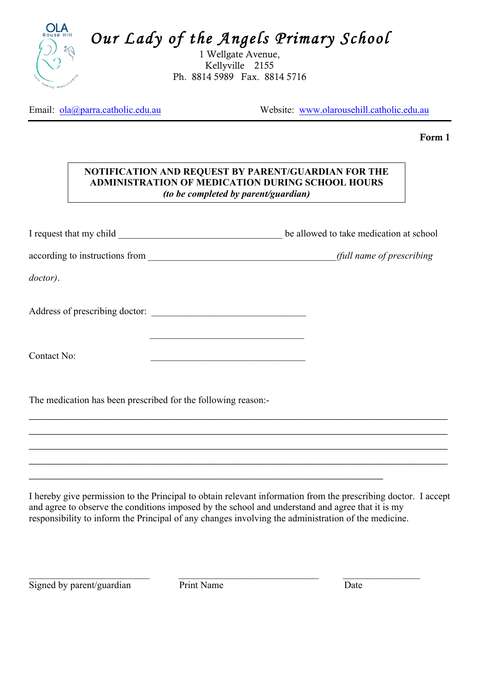

*Our Lady of the Angels Primary School* 

1 Wellgate Avenue, Kellyville 2155 Ph. 8814 5989 Fax. 8814 5716

Email:  $ola@para.catholic.edu.au$  Website: www.olarousehill.catholic.edu.au

Form 1

## **NOTIFICATION AND REQUEST BY PARENT/GUARDIAN FOR THE ADMINISTRATION OF MEDICATION DURING SCHOOL HOURS** *(to be completed by parent/guardian)*

I request that my child \_\_\_\_\_\_\_\_\_\_\_\_\_\_\_\_\_\_\_\_\_\_\_\_\_\_\_\_\_\_\_\_\_\_ be allowed to take medication at school

according to instructions from \_\_\_\_\_\_\_\_\_\_\_\_\_\_\_\_\_\_\_\_\_\_\_\_\_\_\_\_\_\_\_\_\_\_\_\_\_\_\_*(full name of prescribing* 

 $\mathcal{L}_\text{max} = \frac{1}{2} \sum_{i=1}^{n} \frac{1}{2} \sum_{i=1}^{n} \frac{1}{2} \sum_{i=1}^{n} \frac{1}{2} \sum_{i=1}^{n} \frac{1}{2} \sum_{i=1}^{n} \frac{1}{2} \sum_{i=1}^{n} \frac{1}{2} \sum_{i=1}^{n} \frac{1}{2} \sum_{i=1}^{n} \frac{1}{2} \sum_{i=1}^{n} \frac{1}{2} \sum_{i=1}^{n} \frac{1}{2} \sum_{i=1}^{n} \frac{1}{2} \sum_{i=1}^{n} \frac{1$ 

*doctor)*.

Address of prescribing doctor:

Contact No:

The medication has been prescribed for the following reason:-

I hereby give permission to the Principal to obtain relevant information from the prescribing doctor. I accept and agree to observe the conditions imposed by the school and understand and agree that it is my responsibility to inform the Principal of any changes involving the administration of the medicine.

 $\mathcal{L}_\text{max} = \mathcal{L}_\text{max} = \mathcal{L}_\text{max} = \mathcal{L}_\text{max} = \mathcal{L}_\text{max} = \mathcal{L}_\text{max} = \mathcal{L}_\text{max} = \mathcal{L}_\text{max} = \mathcal{L}_\text{max} = \mathcal{L}_\text{max} = \mathcal{L}_\text{max} = \mathcal{L}_\text{max} = \mathcal{L}_\text{max} = \mathcal{L}_\text{max} = \mathcal{L}_\text{max} = \mathcal{L}_\text{max} = \mathcal{L}_\text{max} = \mathcal{L}_\text{max} = \mathcal{$  $\mathcal{L}_\text{max}$  and  $\mathcal{L}_\text{max}$  and  $\mathcal{L}_\text{max}$  and  $\mathcal{L}_\text{max}$  and  $\mathcal{L}_\text{max}$  and  $\mathcal{L}_\text{max}$  $\mathcal{L}_\text{max}$  and  $\mathcal{L}_\text{max}$  and  $\mathcal{L}_\text{max}$  and  $\mathcal{L}_\text{max}$  and  $\mathcal{L}_\text{max}$  and  $\mathcal{L}_\text{max}$  $\mathcal{L}_\text{max}$  and  $\mathcal{L}_\text{max}$  and  $\mathcal{L}_\text{max}$  and  $\mathcal{L}_\text{max}$  and  $\mathcal{L}_\text{max}$  and  $\mathcal{L}_\text{max}$ 

Signed by parent/guardian Print Name Date

 $\_$  , and the contribution of the contribution of  $\mathcal{L}_\mathcal{A}$  , and the contribution of  $\mathcal{L}_\mathcal{A}$  , and the contribution of  $\mathcal{L}_\mathcal{A}$ 

 $\mathcal{L}_\text{max}$  and  $\mathcal{L}_\text{max}$  and  $\mathcal{L}_\text{max}$  and  $\mathcal{L}_\text{max}$  and  $\mathcal{L}_\text{max}$  and  $\mathcal{L}_\text{max}$